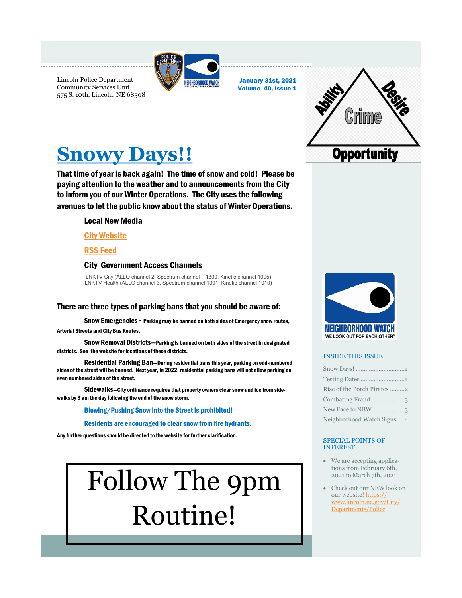

January 31st, 2021 Volume 40, Issue 1

Lincoln Police Department Community Services Unit 575 S. 10th, Lincoln, NE 68508



## **Snowy Days!!**

That time of year is back again! The time of snow and cold! Please be paying attention to the weather and to announcements from the City to inform you of our Winter Operations. The City uses the following avenues to let the public know about the status of Winter Operations.

### Local New Media

### [City Website](snow.lincoln.ne.gov)

### [RSS Feed](snow.lincoln.ne.gov/subscribe/)

### City Government Access Channels

LNKTV City (ALLO channel 2, Spectrum channel 1300, Kinetic channel 1005) LNKTV Health (ALLO channel 3, Spectrum channel 1301, Kinetic channel 1010)

### There are three types of parking bans that you should be aware of:

Snow Emergencies - Parking may be banned on both sides of Emergency snow routes, Arterial Streets and City Bus Routes.

 Snow Removal Districts—Parking is banned on both sides of the street in designated districts. See the website for locations of these districts.

 Residential Parking Ban—During residential bans this year, parking on odd-numbered sides of the street will be banned. Next year, in 2022, residential parking bans will not allow parking on even numbered sides of the street.

Sidewalks—City ordinance requires that property owners clear snow and ice from sidewalks by 9 am the day following the end of the snow storm.

### Blowing/Pushing Snow into the Street is prohibited!

Residents are encouraged to clear snow from fire hydrants.

Any further questions should be directed to the website for further clarification.

# Follow The 9pm Routine!



### INSIDE THIS ISSUE

| Rise of the Porch Pirates 2 |
|-----------------------------|
| Combating Fraud3            |
| New Face to NBW3            |
| Neighborhood Watch Signs4   |

### SPECIAL POINTS OF INTEREST

- We are accepting applications from February 6th, 2021 to March 7th, 2021
- Check out our NEW look on our website! [https://](https://www.lincoln.ne.gov/City/Departments/Police) [www.lincoln.ne.gov/City/](https://www.lincoln.ne.gov/City/Departments/Police) [Departments/Police](https://www.lincoln.ne.gov/City/Departments/Police)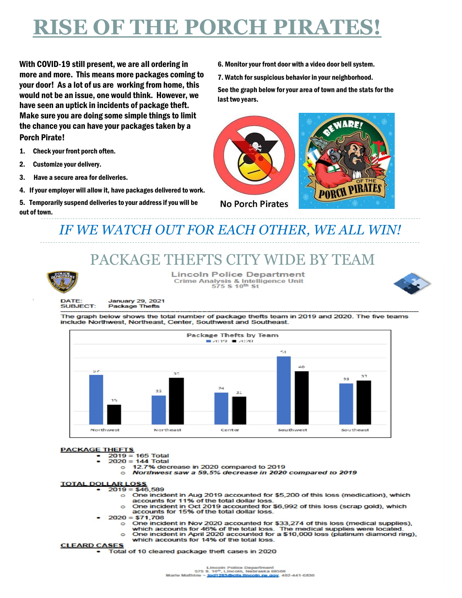# **RISE OF THE PORCH PIRATES!**

With COVID-19 still present, we are all ordering in more and more. This means more packages coming to your door! As a lot of us are working from home, this would not be an issue, one would think. However, we have seen an uptick in incidents of package theft. Make sure you are doing some simple things to limit the chance you can have your packages taken by a Porch Pirate!

- 1. Check your front porch often.
- 2. Customize your delivery.
- 3. Have a secure area for deliveries.
- 4. If your employer will allow it, have packages delivered to work.
- 5. Temporarily suspend deliveries to your address if you will be out of town.

6. Monitor your front door with a video door bell system.

7. Watch for suspicious behavior in your neighborhood.

See the graph below for your area of town and the stats for the last two years.





### *IF WE WATCH OUT FOR EACH OTHER, WE ALL WIN!*

### PACKAGE THEFTS CITY WIDE BY TEAM



1

**Lincoln Police Department** Crime Analysis & Intelligence Unit<br>575 \$ 10th St



**DATE: SUBJECT:** 

January 29, 2021 **Package Thefts** 

The graph below shows the total number of package thefts team in 2019 and 2020. The five teams include Northwest, Northeast, Center, Southwest and Southeast.



### **PACKAGE THEFTS**

- - $2019 = 165$  Total<br> $2020 = 144$  Total
		- 12.7% decrease in 2020 compared to 2019  $\circ$
		- Northwest saw a 59.5% decrease in 2020 compared to 2019  $\circ$

### **TOTAL DOLLAR LOSS**<br> $\cdot$  2019 = \$46,589

- o One incident in Aug 2019 accounted for \$5,200 of this loss (medication), which accounts for 11% of the total dollar loss
- One incident in Oct 2019 accounted for \$6,992 of this loss (scrap gold), which  $\circ$ accounts for 15% of the total dollar loss.
- $2020 = $71,708$ 
	- o One incident in Nov 2020 accounted for \$33,274 of this loss (medical supplies),
	- which accounts for 46% of the total loss. The medical supplies were located.
	- One incident in April 2020 accounted for a \$10,000 loss (platinum diamond ring), which accounts for 14% of the total loss.

### **CLEARD CASES**

Total of 10 cleared package theft cases in 2020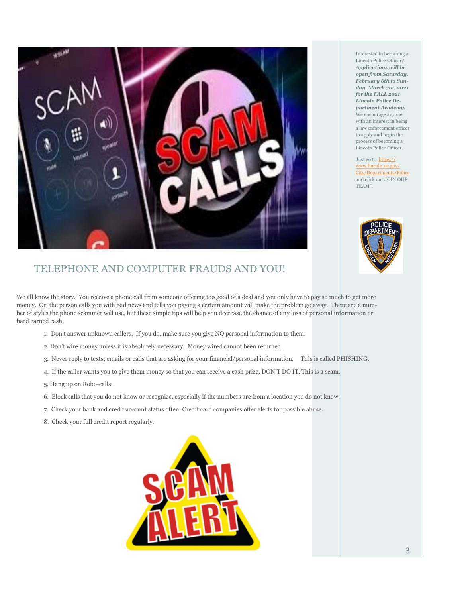

Interested in becoming a Lincoln Police Officer? *Applications will be open from Saturday, February 6th to Sunday, March 7th, 2021 for the FALL 2021 Lincoln Police Department Academy.*  We encourage anyone with an interest in being a law enforcement officer to apply and begin the process of becoming a Lincoln Police Officer.

Just go to [https://](https://www.lincoln.ne.gov/City/Departments/Police) [www.lincoln.ne.gov/](https://www.lincoln.ne.gov/City/Departments/Police) [City/Departments/Police](https://www.lincoln.ne.gov/City/Departments/Police) and click on "JOIN OUR TEAM".



### TELEPHONE AND COMPUTER FRAUDS AND YOU!

We all know the story. You receive a phone call from someone offering too good of a deal and you only have to pay so much to get more money. Or, the person calls you with bad news and tells you paying a certain amount will make the problem go away. There are a number of styles the phone scammer will use, but these simple tips will help you decrease the chance of any loss of personal information or hard earned cash.

- 1. Don't answer unknown callers. If you do, make sure you give NO personal information to them.
- 2. Don't wire money unless it is absolutely necessary. Money wired cannot been returned.
- 3. Never reply to texts, emails or calls that are asking for your financial/personal information. This is called PHISHING.
- 4. If the caller wants you to give them money so that you can receive a cash prize, DON'T DO IT. This is a scam.
- 5. Hang up on Robo-calls.
- 6. Block calls that you do not know or recognize, especially if the numbers are from a location you do not know.
- 7. Check your bank and credit account status often. Credit card companies offer alerts for possible abuse.
- 8. Check your full credit report regularly.